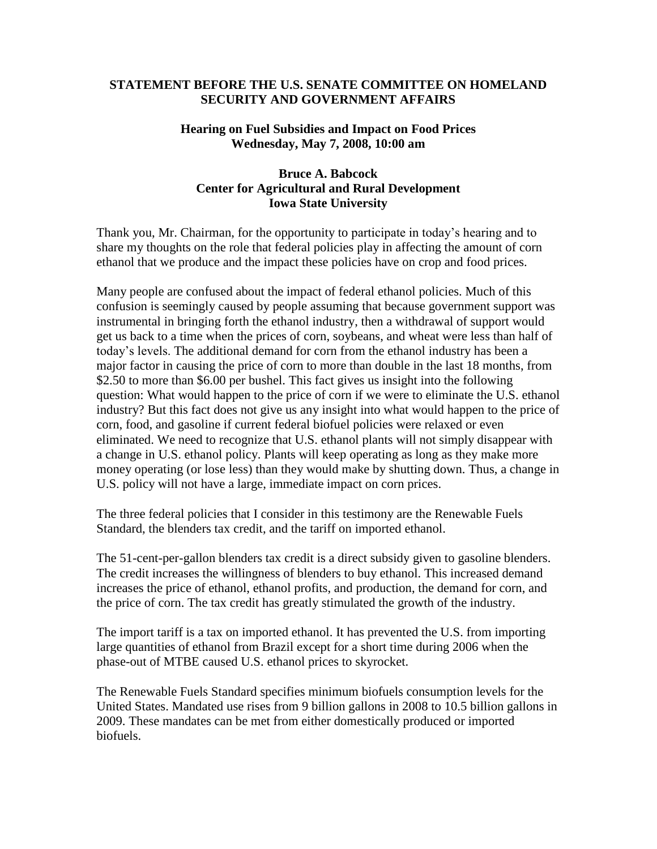## **STATEMENT BEFORE THE U.S. SENATE COMMITTEE ON HOMELAND SECURITY AND GOVERNMENT AFFAIRS**

## **Hearing on Fuel Subsidies and Impact on Food Prices Wednesday, May 7, 2008, 10:00 am**

## **Bruce A. Babcock Center for Agricultural and Rural Development Iowa State University**

Thank you, Mr. Chairman, for the opportunity to participate in today's hearing and to share my thoughts on the role that federal policies play in affecting the amount of corn ethanol that we produce and the impact these policies have on crop and food prices.

Many people are confused about the impact of federal ethanol policies. Much of this confusion is seemingly caused by people assuming that because government support was instrumental in bringing forth the ethanol industry, then a withdrawal of support would get us back to a time when the prices of corn, soybeans, and wheat were less than half of today's levels. The additional demand for corn from the ethanol industry has been a major factor in causing the price of corn to more than double in the last 18 months, from \$2.50 to more than \$6.00 per bushel. This fact gives us insight into the following question: What would happen to the price of corn if we were to eliminate the U.S. ethanol industry? But this fact does not give us any insight into what would happen to the price of corn, food, and gasoline if current federal biofuel policies were relaxed or even eliminated. We need to recognize that U.S. ethanol plants will not simply disappear with a change in U.S. ethanol policy. Plants will keep operating as long as they make more money operating (or lose less) than they would make by shutting down. Thus, a change in U.S. policy will not have a large, immediate impact on corn prices.

The three federal policies that I consider in this testimony are the Renewable Fuels Standard, the blenders tax credit, and the tariff on imported ethanol.

The 51-cent-per-gallon blenders tax credit is a direct subsidy given to gasoline blenders. The credit increases the willingness of blenders to buy ethanol. This increased demand increases the price of ethanol, ethanol profits, and production, the demand for corn, and the price of corn. The tax credit has greatly stimulated the growth of the industry.

The import tariff is a tax on imported ethanol. It has prevented the U.S. from importing large quantities of ethanol from Brazil except for a short time during 2006 when the phase-out of MTBE caused U.S. ethanol prices to skyrocket.

The Renewable Fuels Standard specifies minimum biofuels consumption levels for the United States. Mandated use rises from 9 billion gallons in 2008 to 10.5 billion gallons in 2009. These mandates can be met from either domestically produced or imported biofuels.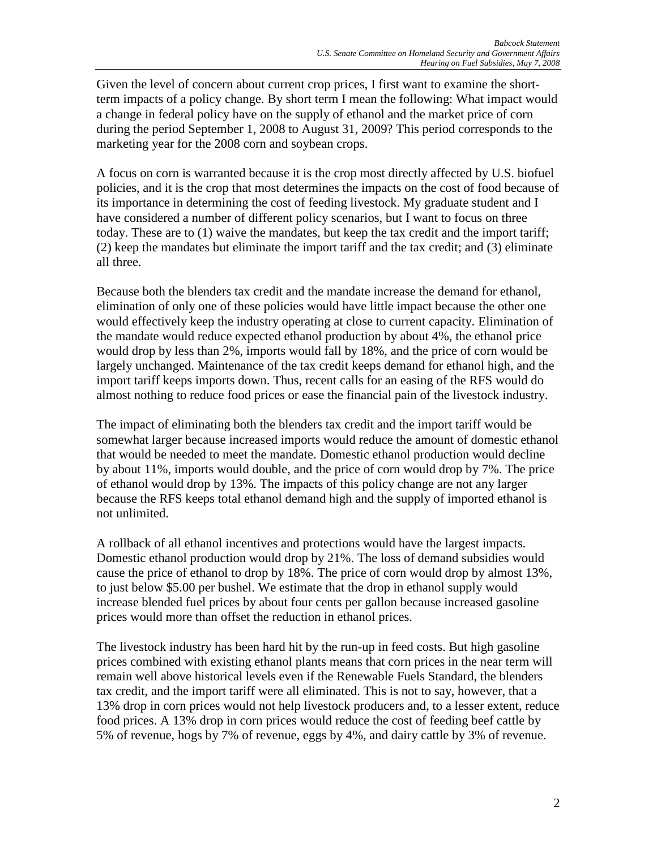Given the level of concern about current crop prices, I first want to examine the shortterm impacts of a policy change. By short term I mean the following: What impact would a change in federal policy have on the supply of ethanol and the market price of corn during the period September 1, 2008 to August 31, 2009? This period corresponds to the marketing year for the 2008 corn and soybean crops.

A focus on corn is warranted because it is the crop most directly affected by U.S. biofuel policies, and it is the crop that most determines the impacts on the cost of food because of its importance in determining the cost of feeding livestock. My graduate student and I have considered a number of different policy scenarios, but I want to focus on three today. These are to (1) waive the mandates, but keep the tax credit and the import tariff; (2) keep the mandates but eliminate the import tariff and the tax credit; and (3) eliminate all three.

Because both the blenders tax credit and the mandate increase the demand for ethanol, elimination of only one of these policies would have little impact because the other one would effectively keep the industry operating at close to current capacity. Elimination of the mandate would reduce expected ethanol production by about 4%, the ethanol price would drop by less than 2%, imports would fall by 18%, and the price of corn would be largely unchanged. Maintenance of the tax credit keeps demand for ethanol high, and the import tariff keeps imports down. Thus, recent calls for an easing of the RFS would do almost nothing to reduce food prices or ease the financial pain of the livestock industry.

The impact of eliminating both the blenders tax credit and the import tariff would be somewhat larger because increased imports would reduce the amount of domestic ethanol that would be needed to meet the mandate. Domestic ethanol production would decline by about 11%, imports would double, and the price of corn would drop by 7%. The price of ethanol would drop by 13%. The impacts of this policy change are not any larger because the RFS keeps total ethanol demand high and the supply of imported ethanol is not unlimited.

A rollback of all ethanol incentives and protections would have the largest impacts. Domestic ethanol production would drop by 21%. The loss of demand subsidies would cause the price of ethanol to drop by 18%. The price of corn would drop by almost 13%, to just below \$5.00 per bushel. We estimate that the drop in ethanol supply would increase blended fuel prices by about four cents per gallon because increased gasoline prices would more than offset the reduction in ethanol prices.

The livestock industry has been hard hit by the run-up in feed costs. But high gasoline prices combined with existing ethanol plants means that corn prices in the near term will remain well above historical levels even if the Renewable Fuels Standard, the blenders tax credit, and the import tariff were all eliminated. This is not to say, however, that a 13% drop in corn prices would not help livestock producers and, to a lesser extent, reduce food prices. A 13% drop in corn prices would reduce the cost of feeding beef cattle by 5% of revenue, hogs by 7% of revenue, eggs by 4%, and dairy cattle by 3% of revenue.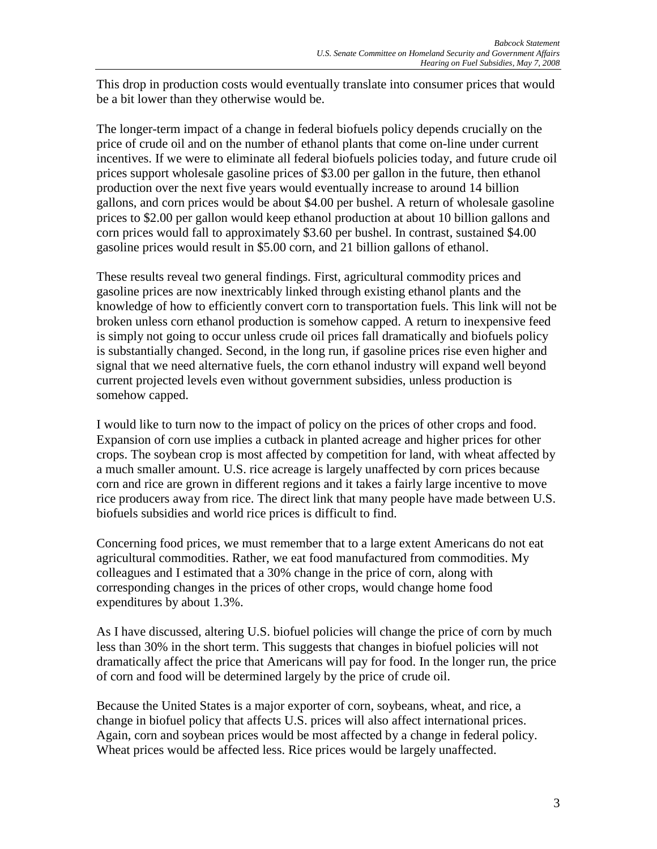This drop in production costs would eventually translate into consumer prices that would be a bit lower than they otherwise would be.

The longer-term impact of a change in federal biofuels policy depends crucially on the price of crude oil and on the number of ethanol plants that come on-line under current incentives. If we were to eliminate all federal biofuels policies today, and future crude oil prices support wholesale gasoline prices of \$3.00 per gallon in the future, then ethanol production over the next five years would eventually increase to around 14 billion gallons, and corn prices would be about \$4.00 per bushel. A return of wholesale gasoline prices to \$2.00 per gallon would keep ethanol production at about 10 billion gallons and corn prices would fall to approximately \$3.60 per bushel. In contrast, sustained \$4.00 gasoline prices would result in \$5.00 corn, and 21 billion gallons of ethanol.

These results reveal two general findings. First, agricultural commodity prices and gasoline prices are now inextricably linked through existing ethanol plants and the knowledge of how to efficiently convert corn to transportation fuels. This link will not be broken unless corn ethanol production is somehow capped. A return to inexpensive feed is simply not going to occur unless crude oil prices fall dramatically and biofuels policy is substantially changed. Second, in the long run, if gasoline prices rise even higher and signal that we need alternative fuels, the corn ethanol industry will expand well beyond current projected levels even without government subsidies, unless production is somehow capped.

I would like to turn now to the impact of policy on the prices of other crops and food. Expansion of corn use implies a cutback in planted acreage and higher prices for other crops. The soybean crop is most affected by competition for land, with wheat affected by a much smaller amount. U.S. rice acreage is largely unaffected by corn prices because corn and rice are grown in different regions and it takes a fairly large incentive to move rice producers away from rice. The direct link that many people have made between U.S. biofuels subsidies and world rice prices is difficult to find.

Concerning food prices, we must remember that to a large extent Americans do not eat agricultural commodities. Rather, we eat food manufactured from commodities. My colleagues and I estimated that a 30% change in the price of corn, along with corresponding changes in the prices of other crops, would change home food expenditures by about 1.3%.

As I have discussed, altering U.S. biofuel policies will change the price of corn by much less than 30% in the short term. This suggests that changes in biofuel policies will not dramatically affect the price that Americans will pay for food. In the longer run, the price of corn and food will be determined largely by the price of crude oil.

Because the United States is a major exporter of corn, soybeans, wheat, and rice, a change in biofuel policy that affects U.S. prices will also affect international prices. Again, corn and soybean prices would be most affected by a change in federal policy. Wheat prices would be affected less. Rice prices would be largely unaffected.